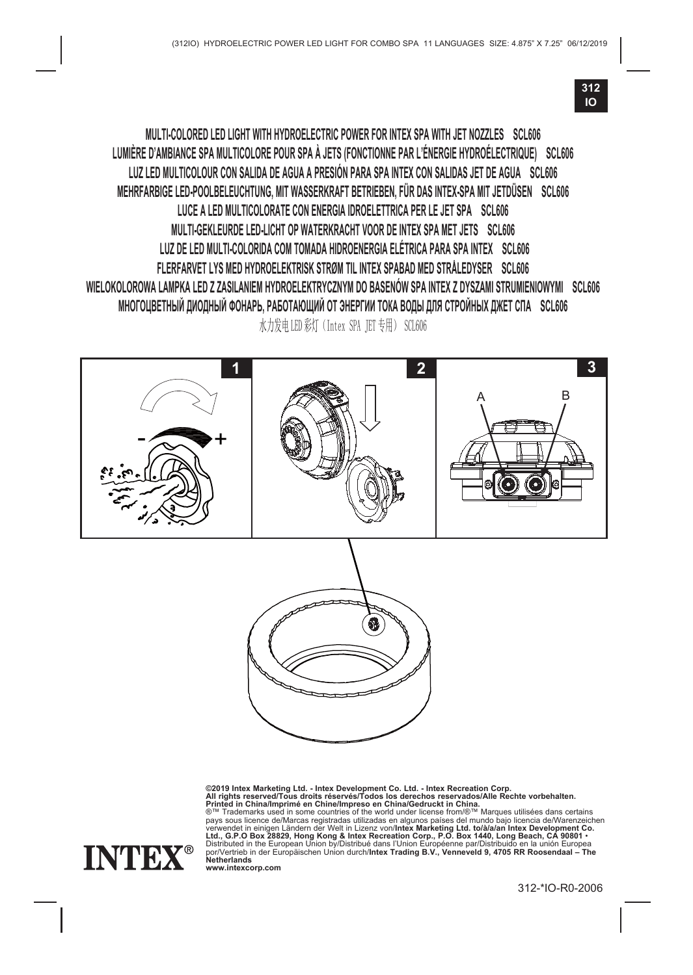

**MULTI-COLORED LED LIGHT WITH HYDROELECTRIC POWER FOR INTEX SPA WITH JET NOZZLES SCL606 LUMIÈRE D'AMBIANCE SPA MULTICOLORE POUR SPA À JETS (FONCTIONNE PAR L'ÉNERGIE HYDROÉLECTRIQUE) SCL606 LUZ LED MULTICOLOUR CON SALIDA DE AGUA A PRESIÓN PARA SPA INTEX CON SALIDAS JET DE AGUA SCL606 MEHRFARBIGE LED-POOLBELEUCHTUNG, MIT WASSERKRAFT BETRIEBEN, FÜR DAS INTEX-SPA MIT JETDÜSEN SCL606 LUCE A LED MULTICOLORATE CON ENERGIA IDROELETTRICA PER LE JET SPA SCL606 MULTI-GEKLEURDE LED-LICHT OP WATERKRACHT VOOR DE INTEX SPA MET JETS SCL606 LUZ DE LED MULTI-COLORIDA COM TOMADA HIDROENERGIA ELÉTRICA PARA SPA INTEX SCL606 FLERFARVET LYS MED HYDROELEKTRISK STRØM TIL INTEX SPABAD MED STRÅLEDYSER SCL606 WIELOKOLOROWA LAMPKA LED Z ZASILANIEM HYDROELEKTRYCZNYM DO BASENÓW SPA INTEX Z DYSZAMI STRUMIENIOWYMI SCL606 МНОГОЦВЕТНЫЙ ДИОДНЫЙ ФОНАРЬ, РАБОТАЮЩИЙ ОТ ЭНЕРГИИ ТОКА ВОДЫ ДЛЯ СТРОЙНЫХ ДЖЕТ СПА SCL606** 水力发电 LED 彩灯 (Intex SPA TET 专用) SCL606



**©2019 Intex Marketing Ltd. - Intex Development Co. Ltd. - Intex Recreation Corp. All rights reserved/Tous droits réservés/Todos los derechos reservados/Alle Rechte vorbehalten. Printed in China/Imprimé en Chine/Impreso en China/Gedruckt in China.** ®™ Trademarks used in some countries of the world under license from/®™ Marques utilisées dans certains pays sous licence de/Marcas registradas utilizadas en algunos países del mundo bajo licencia de/Warenzeichen<br>verwendet in einigen Ländern der Welt in Lizenz von/Intex Marketing Ltd. tolàla/an Intex Development Co.<br>Ltd., G



**www.intexcorp.com**

312-\*IO-R0-2006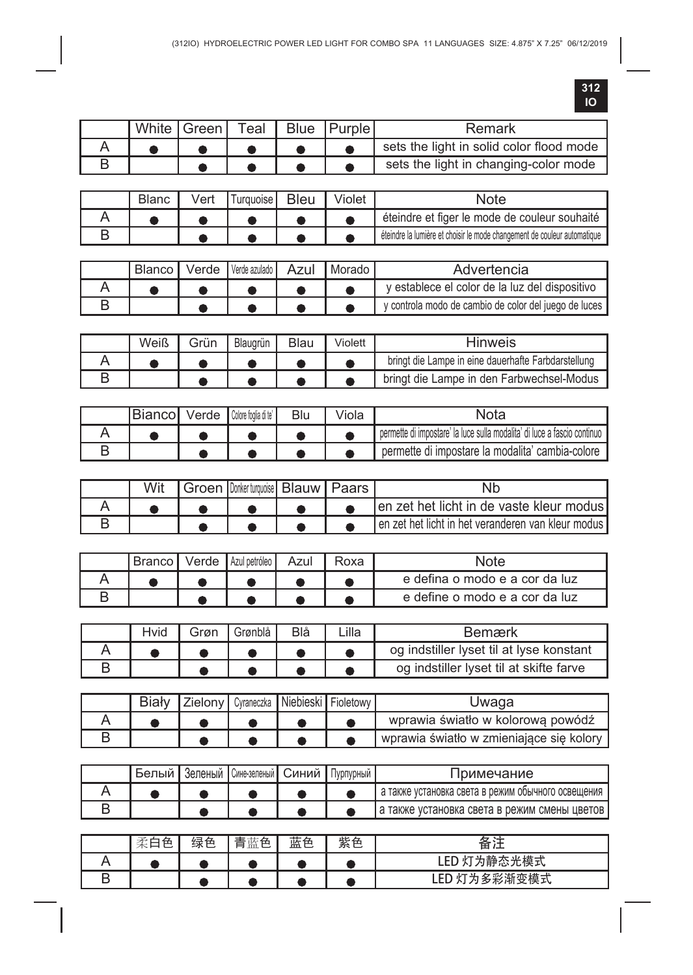|  | White   Green |  | Teal   Blue   Purple | Remark                                   |
|--|---------------|--|----------------------|------------------------------------------|
|  |               |  |                      | sets the light in solid color flood mode |
|  |               |  |                      | sets the light in changing-color mode    |

| <b>Blanc</b> | Vert | urquoise <b>I</b> | <b>Bleu</b> | Violet | Note                                                                     |
|--------------|------|-------------------|-------------|--------|--------------------------------------------------------------------------|
|              |      |                   |             |        | éteindre et figer le mode de couleur souhaité                            |
|              |      |                   |             |        | éteindre la lumière et choisir le mode changement de couleur automatique |

| Blanco | Verde I | l Verde azulado ll | Azul | Morado | Advertencia                                           |
|--------|---------|--------------------|------|--------|-------------------------------------------------------|
|        |         |                    |      |        | v establece el color de la luz del dispositivo        |
|        |         |                    |      |        | y controla modo de cambio de color del juego de luces |

| Weiß | Grün | Blaugrün | Blau | Violett | Hinweis                                             |
|------|------|----------|------|---------|-----------------------------------------------------|
|      |      |          |      |         | bringt die Lampe in eine dauerhafte Farbdarstellung |
|      |      |          |      |         | bringt die Lampe in den Farbwechsel-Modus           |

| ıBiancoI | Verde Colore foolia di te' | √iola | Nota                                                                     |
|----------|----------------------------|-------|--------------------------------------------------------------------------|
|          |                            |       | permette di impostare' la luce sulla modalita' di luce a fascio continuo |
|          |                            |       | permette di impostare la modalita' cambia-colore                         |

|  | Groen   Donker turquoise   Blauw   Paars |  | Nł                                                  |
|--|------------------------------------------|--|-----------------------------------------------------|
|  |                                          |  | en zet het licht in de vaste kleur modus            |
|  |                                          |  | Len zet het licht in het veranderen van kleur modus |

| i Branco ' | Verde | Azul petróleo I | Azul | Roxa | Note                           |
|------------|-------|-----------------|------|------|--------------------------------|
|            |       |                 |      |      | e defina o modo e a cor da luz |
|            |       |                 |      |      | e define o modo e a cor da luz |

| Hvid | Grøn | Grønblå | Blå | Lilla l | Bemærk                                   |
|------|------|---------|-----|---------|------------------------------------------|
|      |      |         |     |         | og indstiller lyset til at lyse konstant |
|      |      |         |     |         | og indstiller lyset til at skifte farve  |

|  | Biały Zielony   Cyraneczka   Niebieski   Fioletowy |  | Uwaga                                    |
|--|----------------------------------------------------|--|------------------------------------------|
|  |                                                    |  | wprawia światło w kolorowa powódź        |
|  |                                                    |  | wprawia światło w zmieniające się kolory |

| Белый | "Зеленый  Сине-зеленый  Синий   Пурпурный |  | <b>Іримечание</b>                                   |
|-------|-------------------------------------------|--|-----------------------------------------------------|
|       |                                           |  | ча также установка света в режим обычного освещения |
|       |                                           |  | ја также установка света в режим смены цветов ј     |

| $-$<br>伍<br>木」<br>؎ | 绿色 | 蓝色<br>圭<br>⊟ | 蓝色 | 紫色 | $\sim$<br>≂<br>宙       |
|---------------------|----|--------------|----|----|------------------------|
|                     |    |              |    |    | 静态光模式<br>LED<br>$\sim$ |
|                     |    |              |    |    | 彩渐变模式<br>≂<br>∞        |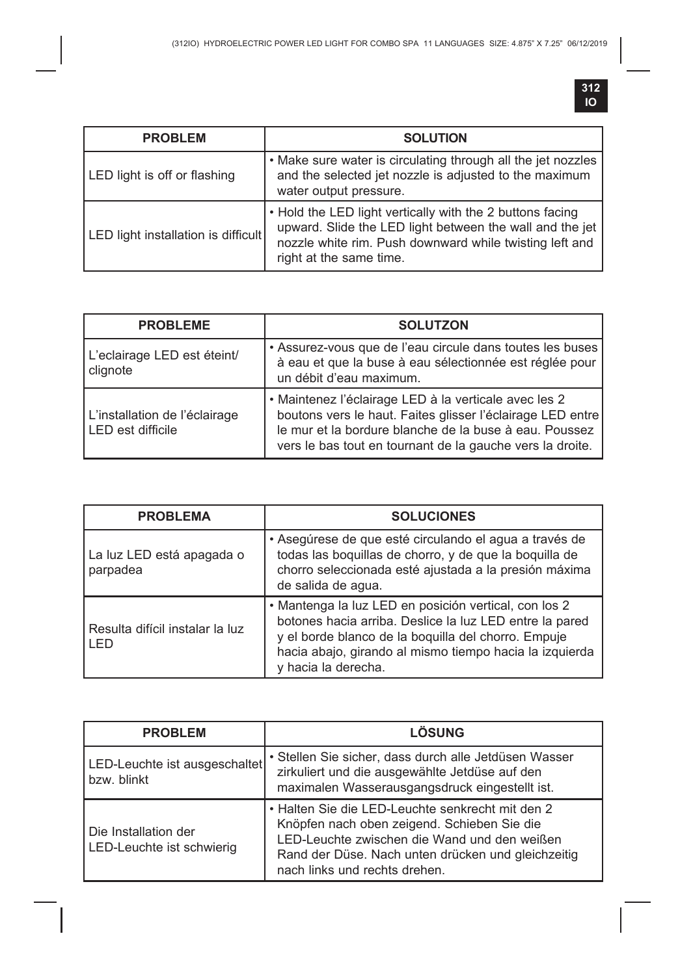| <b>PROBLEM</b>                      | <b>SOLUTION</b>                                                                                                                                                                                             |
|-------------------------------------|-------------------------------------------------------------------------------------------------------------------------------------------------------------------------------------------------------------|
| LED light is off or flashing        | . Make sure water is circulating through all the jet nozzles<br>and the selected jet nozzle is adjusted to the maximum<br>water output pressure.                                                            |
| LED light installation is difficult | . Hold the LED light vertically with the 2 buttons facing<br>upward. Slide the LED light between the wall and the jet<br>nozzle white rim. Push downward while twisting left and<br>right at the same time. |

| <b>PROBLEME</b>                                    | <b>SOLUTZON</b>                                                                                                                                                                                                                            |
|----------------------------------------------------|--------------------------------------------------------------------------------------------------------------------------------------------------------------------------------------------------------------------------------------------|
| L'eclairage LED est éteint/<br>clignote            | • Assurez-vous que de l'eau circule dans toutes les buses<br>à eau et que la buse à eau sélectionnée est réglée pour<br>un débit d'eau maximum.                                                                                            |
| L'installation de l'éclairage<br>LED est difficile | • Maintenez l'éclairage LED à la verticale avec les 2<br>boutons vers le haut. Faites glisser l'éclairage LED entre<br>le mur et la bordure blanche de la buse à eau. Poussez<br>vers le bas tout en tournant de la gauche vers la droite. |

| <b>PROBLEMA</b>                         | <b>SOLUCIONES</b>                                                                                                                                                                                                                                         |
|-----------------------------------------|-----------------------------------------------------------------------------------------------------------------------------------------------------------------------------------------------------------------------------------------------------------|
| La luz LED está apagada o<br>parpadea   | • Asegúrese de que esté circulando el agua a través de<br>todas las boquillas de chorro, y de que la boquilla de<br>chorro seleccionada esté ajustada a la presión máxima<br>de salida de aqua.                                                           |
| Resulta difícil instalar la luz<br>I FD | · Mantenga la luz LED en posición vertical, con los 2<br>botones hacia arriba. Deslice la luz LED entre la pared<br>y el borde blanco de la boquilla del chorro. Empuje<br>hacia abajo, girando al mismo tiempo hacia la izguierda<br>y hacia la derecha. |

| <b>PROBLEM</b>                                             | LÖSUNG                                                                                                                                                                                                                                 |
|------------------------------------------------------------|----------------------------------------------------------------------------------------------------------------------------------------------------------------------------------------------------------------------------------------|
| LED-Leuchte ist ausgeschaltet<br>bzw. blinkt               | • Stellen Sie sicher, dass durch alle Jetdüsen Wasser<br>zirkuliert und die ausgewählte Jetdüse auf den<br>maximalen Wasserausgangsdruck eingestellt ist.                                                                              |
| <b>I</b> Die Installation der<br>LED-Leuchte ist schwierig | . Halten Sie die LED-Leuchte senkrecht mit den 2<br>Knöpfen nach oben zeigend. Schieben Sie die<br>LED-Leuchte zwischen die Wand und den weißen<br>Rand der Düse. Nach unten drücken und gleichzeitig<br>nach links und rechts drehen. |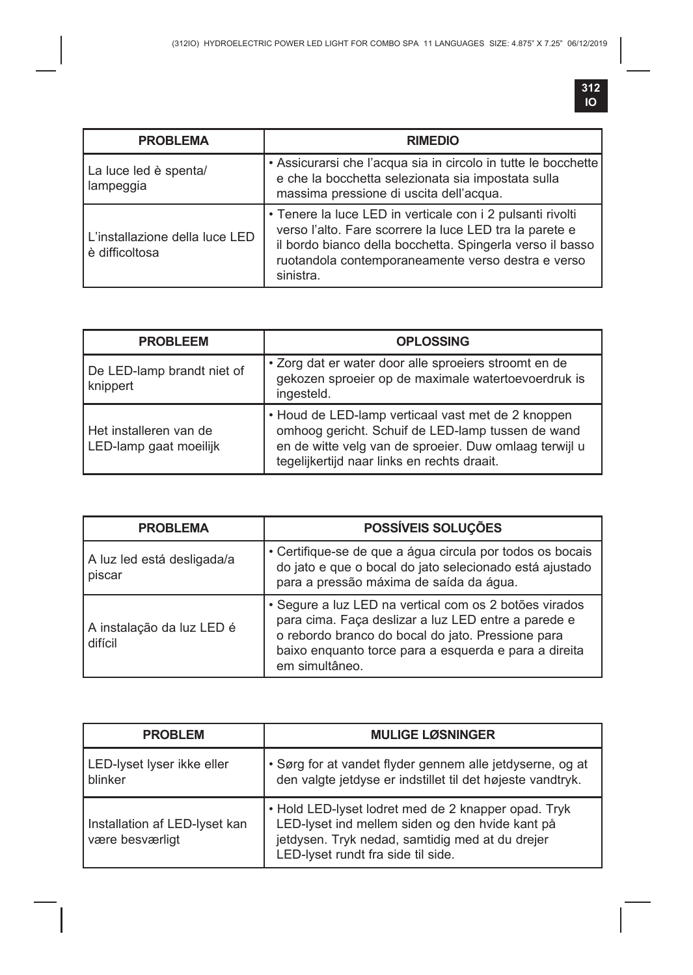| <b>PROBLEMA</b>                                  | <b>RIMEDIO</b>                                                                                                                                                                                                                                        |
|--------------------------------------------------|-------------------------------------------------------------------------------------------------------------------------------------------------------------------------------------------------------------------------------------------------------|
| La luce led è spenta/<br>lampeggia               | • Assicurarsi che l'acqua sia in circolo in tutte le bocchette<br>e che la bocchetta selezionata sia impostata sulla<br>massima pressione di uscita dell'acqua.                                                                                       |
| L'installazione della luce LED<br>è difficoltosa | • Tenere la luce LED in verticale con i 2 pulsanti rivolti<br>verso l'alto. Fare scorrere la luce LED tra la parete e<br>il bordo bianco della bocchetta. Spingerla verso il basso<br>ruotandola contemporaneamente verso destra e verso<br>sinistra. |

| <b>PROBLEEM</b>                                  | <b>OPLOSSING</b>                                                                                                                                                                                                 |
|--------------------------------------------------|------------------------------------------------------------------------------------------------------------------------------------------------------------------------------------------------------------------|
| De LED-lamp brandt niet of<br>knippert           | . Zorg dat er water door alle sproeiers stroomt en de<br>gekozen sproeier op de maximale watertoevoerdruk is<br>ingesteld.                                                                                       |
| Het installeren van de<br>LED-lamp gaat moeilijk | • Houd de LED-lamp verticaal vast met de 2 knoppen<br>omhoog gericht. Schuif de LED-lamp tussen de wand<br>en de witte velg van de sproeier. Duw omlaag terwijl u<br>tegelijkertijd naar links en rechts draait. |

| <b>PROBLEMA</b>                      | POSSÍVEIS SOLUÇÕES                                                                                                                                                                                                                            |
|--------------------------------------|-----------------------------------------------------------------------------------------------------------------------------------------------------------------------------------------------------------------------------------------------|
| A luz led está desligada/a<br>piscar | • Certifique-se de que a água circula por todos os bocais<br>do jato e que o bocal do jato selecionado está ajustado<br>para a pressão máxima de saída da água.                                                                               |
| A instalação da luz LED é<br>difícil | · Segure a luz LED na vertical com os 2 botões virados<br>para cima. Faça deslizar a luz LED entre a parede e<br>o rebordo branco do bocal do jato. Pressione para<br>baixo enquanto torce para a esquerda e para a direita<br>em simultâneo. |

| <b>PROBLEM</b>                                   | <b>MULIGE LØSNINGER</b>                                                                                                                                                                         |
|--------------------------------------------------|-------------------------------------------------------------------------------------------------------------------------------------------------------------------------------------------------|
| LED-lyset lyser ikke eller<br>blinker            | · Sørg for at vandet flyder gennem alle jetdyserne, og at<br>den valgte jetdyse er indstillet til det højeste vandtryk.                                                                         |
| Installation af LED-lyset kan<br>være besværligt | • Hold LED-lyset lodret med de 2 knapper opad. Tryk<br>LED-lyset ind mellem siden og den hvide kant på<br>jetdysen. Tryk nedad, samtidig med at du drejer<br>LED-lyset rundt fra side til side. |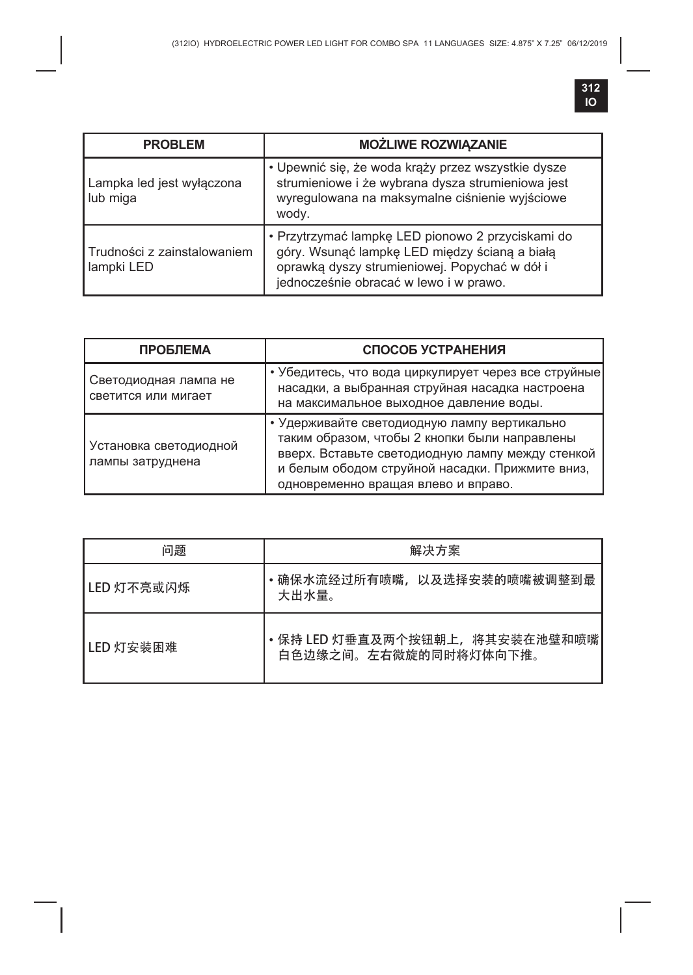| <b>PROBLEM</b>                            | <b>MOŻLIWE ROZWIĄZANIE</b>                                                                                                                                                                    |
|-------------------------------------------|-----------------------------------------------------------------------------------------------------------------------------------------------------------------------------------------------|
| Lampka led jest wyłączona<br>lub miga     | · Upewnić się, że woda krąży przez wszystkie dysze<br>strumieniowe i że wybrana dysza strumieniowa jest<br>wyregulowana na maksymalne ciśnienie wyjściowe<br>wody.                            |
| Trudności z zainstalowaniem<br>lampki LED | · Przytrzymać lampkę LED pionowo 2 przyciskami do<br>góry. Wsunąć lampkę LED między ścianą a białą<br>oprawką dyszy strumieniowej. Popychać w dół i<br>jednocześnie obracać w lewo i w prawo. |

| <b>ПРОБЛЕМА</b>                              | СПОСОБ УСТРАНЕНИЯ                                                                                                                                                                                                                           |
|----------------------------------------------|---------------------------------------------------------------------------------------------------------------------------------------------------------------------------------------------------------------------------------------------|
| Светодиодная лампа не<br>светится или мигает | • Убедитесь, что вода циркулирует через все струйные<br>насадки, а выбранная струйная насадка настроена<br>на максимальное выходное давление воды.                                                                                          |
| Установка светодиодной<br>лампы затруднена   | • Удерживайте светодиодную лампу вертикально<br>таким образом, чтобы 2 кнопки были направлены<br>вверх. Вставьте светодиодную лампу между стенкой<br>и белым ободом струйной насадки. Прижмите вниз,<br>одновременно вращая влево и вправо. |

| 问题           | 解决方案                                                   |
|--------------|--------------------------------------------------------|
| l LED 灯不亮或闪烁 | •确保水流经过所有喷嘴,以及选择安装的喷嘴被调整到最<br>大出水量。                    |
| I LED 灯安装困难  | •保持 LED 灯垂直及两个按钮朝上,将其安装在池壁和喷嘴<br>白色边缘之间。左右微旋的同时将灯体向下推。 |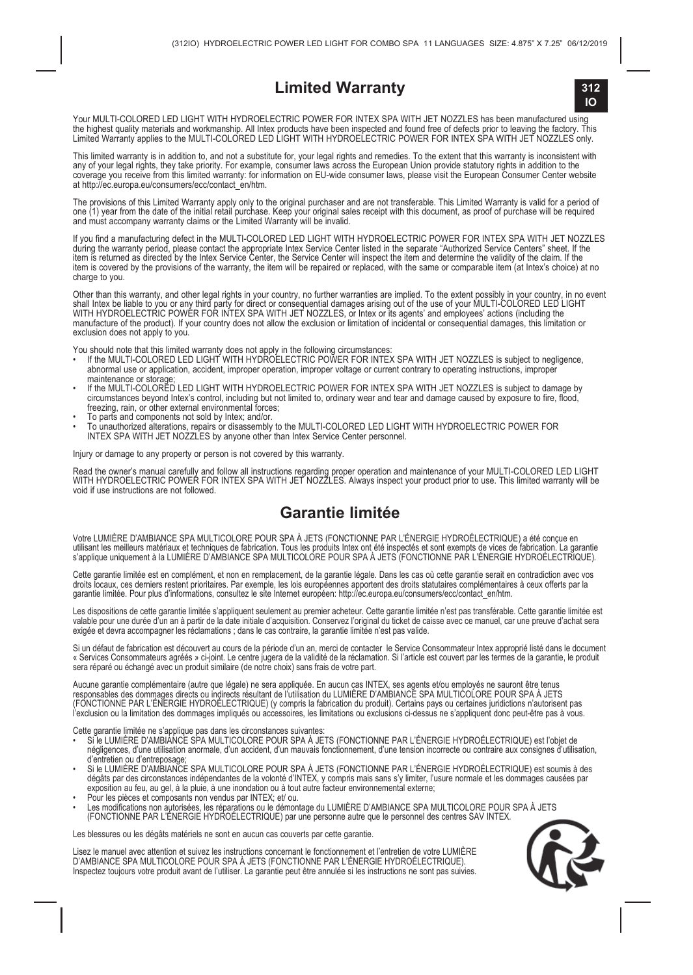#### **Limited Warranty**



Your MULTI-COLORED LED LIGHT WITH HYDROELECTRIC POWER FOR INTEX SPA WITH JET NOZZLES has been manufactured using the highest quality materials and workmanship. All intex products have been inspected and found free of defects prior to leaving the factory. This<br>Limited Warranty applies to the MULTI-COLORED LED LIGHT WITH HYDROELECTRIC

This limited warranty is in addition to, and not a substitute for, your legal rights and remedies. To the extent that this warranty is inconsistent with any ot your legal rights, they take prionty. For example, consumer laws across the European Union provide statutory rights in addition to the<br>coverage you receive from this limited warranty: for information on EU-wide cons at http://ec.europa.eu/consumers/ecc/contact\_en/htm

The provisions of this Limited Warranty apply only to the original purchaser and are not transterable. This Limited Warranty is valid for a period of<br>one (1) year from the date of the initial retail purchase. Keep your ori and must accompany warranty claims or the Limited Warranty will be invalid.

it you find a manufacturing defect in the MULT-COLORED LED LIGHT WITH HYDROELECTRIC POWER FOR INTEX SPA WITH JET NOZZLES<br>during the warranty period, please contact the appropriate Intex Service Center listed in the separat item is covered by the provisions of the warranty, the item will be repaired or replaced, with the same or comparable item (at Intex's choice) at no charge to you.

Other than this warranty, and other legal rights in your country, no turther warranties are implied. To the extent possibly in your country, in no event<br>shall Intex be liable to you or any third party for direct or consequ manufacture of the product). If your country does not allow the exclusion or limitation of incidental or consequential damages, this limitation or exclusion does not apply to you.

- You should note that this limited warranty does not apply in the following circumstances:<br>• If the MULTI-COLORED LED LIGHT WITH HYDROELECTRIC POWER FOR INTEX SPA WITH JET NOZZLES is subject to negligence, abnormal use or application, accident, improper operation, improper voltage or current contrary to operating instructions, improper maintenance or storage;
- If the MULTI-COLORED LED LIGHT WITH HYDROELECTRIC POWER FOR INTEX SPA WITH JET NOZZLES is subject to damage by circumstances beyond Intex's control, including but not limited to, ordinary wear and tear and damage caused by exposure to fire, flood, freezing, rain, or other external environmental forces;
- To parts and components not sold by Intex; and/or.
- To unauthorized alterations, repairs or disassembly to the MULTI-COLORED LED LIGHT WITH HYDROELECTRIC POWER FOR INTEX SPA WITH JET NOZZLES by anyone other than Intex Service Center personnel.

Injury or damage to any property or person is not covered by this warranty.

Read the owner's manual carefully and follow all instructions regarding proper operation and maintenance of your MULTI-COLORED LED LIGHT<br>WITH HYDROELECTRIC POWER FOR INTEX SPA WITH JET NOZZLES. Always inspect your product void if use instructions are not followed.

#### **Garantie limitée**

Votre LUMIERE D'AMBIANCE SPA MULTICOLORE POUR SPA A JETS (FONCTIONNE PAR L'ENERGIE HYDROELECTRIQUE) a eté conçue en<br>utilisant les meilleurs matériaux et techniques de fabrication. Tous les produits Intervalent son exempts

Cette garante limitée est en complément, et non en remplacement, de la garantie légale. Dans les cas où cette garantie serait en contradiction avec vos<br>droits locaux, ces derniers restent prioritaires. Par exemple, les loi garantie limitée. Pour plus d'informations, consultez le site Internet européen: http://ec.europa.eu/consumers/ecc/contact\_en/htm.

Les dispositions de cette garantie limitée s'appliquent seulement au premier acheteur. Cette garantie limitée n'est pas transférable. Cette garantie limitée est valable pour une durée d'un an à partir de la date initiale d'acquisition. Conservez l'original du ticket de caisse avec ce manuel, car une preuve d'achat sera exigée et devra accompagner les réclamations ; dans le cas contraire, la garantie limitée n'est pas valide.

Si un détaut de tabrication est découvert au cours de la période d'un an, merci de contacter le Service Consommateur Intex approprie listé dans le document<br>« Services Consommateurs agréés » ci-joint. Le centre jugera de la

Aucune garantie complementaire (autre que légale) ne sera appliquée. En aucun cas INTEX, ses agents et/ou employés ne sauront être tenus<br>responsables des dommages directs ou indirects résultant de l'utilisation du LUMIERE l'exclusion ou la limitation des dommages impliqués ou accessoires, les limitations ou exclusions ci-dessus ne s'appliquent donc peut-être pas à vous.

- Cette garantie limitée ne s'applique pas dans les circonstances suivantes: Si le LUMIÈRE D'AMBIANCE SPA MULTICOLORE POUR SPA À JETS (FONCTIONNE PAR L'ÉNERGIE HYDROÉLECTRIQUE) est l'objet de négligences, d'une utilisation anormale, d'un accident, d'un mauvais fonctionnement, d'une tension incorrecte ou contraire aux consignes d'utilisation, d'entretien ou d'entreposage;
- Si le LUMIERE D'AMBIANCE SPA MULTICOLORE POUR SPA A JETS (FONCTIONNE PAR L'ENERGIE HYDROELECTRIQUE) est soumis à des<br>dégâts par des circonstances indépendantes de la volonté d'INTEX, y compris mais sans s'y limiter, l'
- Pour les pièces et composants non vendus par INTEX; et/ ou.
- Les modifications non autorisées, les réparations ou le démontage du LUMIÈRE D'AMBIANCE SPA MULTICOLORE POUR SPA À JETS (FONCTIONNE PAR L'ÉNERGIE HYDROÉLECTRIQUE) par une personne autre que le personnel des centres SAV INTEX.

Les blessures ou les dégâts matériels ne sont en aucun cas couverts par cette garantie.

Lisez le manuel avec attention et suivez les instructions concernant le fonctionnement et l'entretien de votre LUMIÈRE D'AMBIANCE SPA MULTICOLORE POUR SPA À JETS (FONCTIONNE PAR L'ÉNERGIE HYDROÉLECTRIQUE). Inspectez toujours votre produit avant de l'utiliser. La garantie peut être annulée si les instructions ne sont pas suivies.

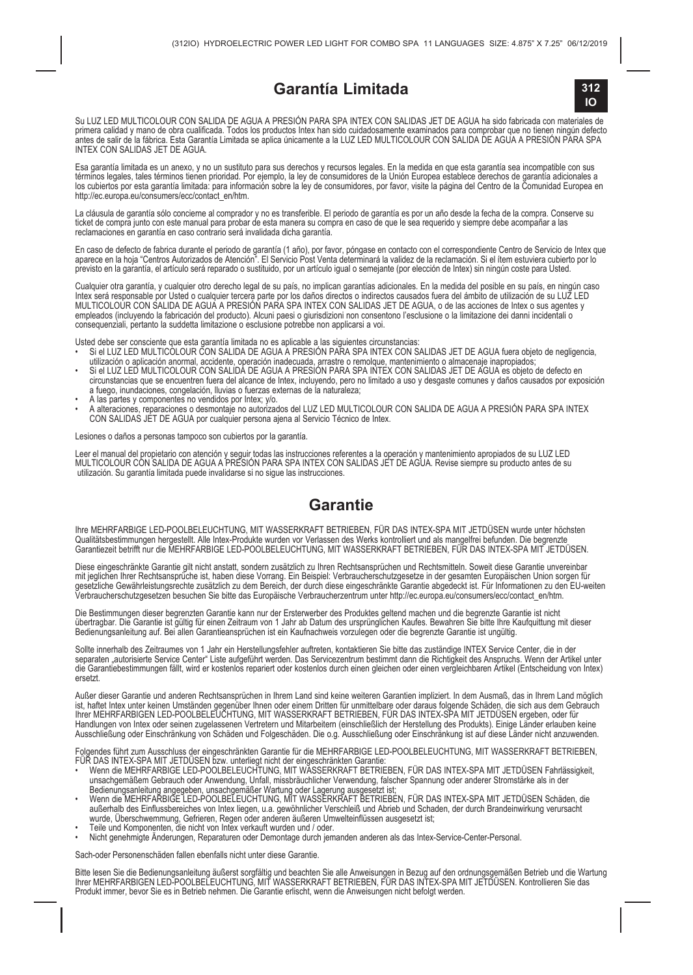#### **Garantía Limitada**



Su LUZ LED MULTICOLOUR CON SALIDA DE AGUA A PRESIÓN PARA SPA INTEX CON SALIDAS JET DE AGUA ha sido fabricada con materiales de<br>primera calidad y mano de obra cualificada. Todos los productos Intex han sido cuidadosamente e INTEX CON SALIDAS JET DE AGUA.

Esa garanta ilmitada es un anexo, y no un sustituto para sus derecnos y recursos legales. En la medida en que esta garanta sea incompatible con sus<br>términos legales, tales términos tienen prioridad. Por ejemplo, la ley de http://ec.europa.eu/consumers/ecc/contact\_en/htm.

La cláusula de garantía sólo concierne al comprador y no es transferible. El periodo de garantía es por un año desde la fecha de la compra. Conserve su ticket de compra junto con este manual para probar de esta manera su compra en caso de que le sea requerido y siempre debe acompañar a las reclamaciones en garantía en caso contrario será invalidada dicha garantía.

En caso de defecto de fabrica durante el periodo de garantia (1 ano), por favor, pongase en contacto con el correspondiente Centro de Servicio de Intex que<br>aparece en la hoja "Centros Autorizados de Atención". El Servicio previsto en la garantía, el artículo será reparado o sustituido, por un artículo igual o semejante (por elección de Intex) sin ningún coste para Usted.

Cualquier otra garantia, y cualquier otro derecho legal de su pais, no implican garantias adicionales. En la medida del posible en su pais, en ningun caso<br>Intex será responsable por Usted o cualquier tercera parte por los MULTICOLOUR CON SALIDA DE AGUA A PRESIÓN PARA SPA INTEX CON SALIDAS JET DE AGUA, o de las acciones de Intex o sus agentes y empleados (incluyendo la fabricación del producto). Alcuni paesi o giurisdizioni non consentono l'esclusione o la limitazione dei danni incidentali o consequenziali, pertanto la suddetta limitazione o esclusione potrebbe non applicarsi a voi.

- Usted debe ser consciente que esta garantia limitada no es aplicable a las siguientes circunstancias:<br>• Si el LUZ LED MULTICOLOUR CON SALIDA DE AGUA A PRESIÓN PARA SPA INTEX CON SALIDAS JET DE AGUA fuera objeto de negl utilización o aplicación anormal, accidente, operación inadecuada, arrastre o remolque, mantenimiento o almacenaje inapropiados;
- Si el LUZ LED MULTICOLOUR CON SALIDA DE AGUA A PRESIÓN PARA SPA INTEX CON SALIDAS JET DE AGUA es objeto de defecto en circunstancias que se encuentren fuera del alcance de Intex, incluyendo, pero no limitado a uso y desgaste comunes y daños causados por exposición a fuego, inundaciones, congelación, lluvias o fuerzas externas de la naturaleza;
- A las partes y componentes no vendidos por Intex; y/o.
- A alteraciones, reparaciones o desmontaje no autorizados del LUZ LED MULTICOLOUR CON SALIDA DE AGUA A PRESIÓN PARA SPA INTEX CON SALIDAS JET DE AGUA por cualquier persona ajena al Servicio Técnico de Intex.

Lesiones o daños a personas tampoco son cubiertos por la garantía.

Leer el manual del propietano con atención y seguir todas las instrucciones reterentes a la operación y mantenmento apropiados de su LUZ LED<br>MULTICOLOUR CON SALIDA DE AGUA A PRESIÓN PARA SPA INTEX CON SALIDAS JET DE AGUA. utilización. Su garantía limitada puede invalidarse si no sigue las instrucciones.

#### **Garantie**

Ihre MEHRFARBIGE LED-POOLBELEUCHTUNG, MIT WASSERKRAFT BETRIEBEN, FÜR DAS INTEX-SPA MIT JETDÜSEN wurde unter höchsten Constitution of the Constitution of the Constitution of the Constitution of the Constitution of the Constitution of the Constitution of the Constitution of the Constitution of the Constitution of the Constitution of the Co

Diese eingeschränkte Garantie gilt nicht anstatt, sondern zusätzlich zu Ihren Rechtsansprüchen und Rechtsmitteln. Soweit diese Garantie unvereinbar mit jeglichen Ihrer Rechtsansprüche ist, haben diese Vorrang. Ein Beispiel: Verbraucherschutzgesetze in der gesamten Europäischen Union sorgen für<br>gesetzliche Gewährleistungsrechte zusätzlich zu dem Bereich, der durch dies Verbraucherschutzgesetzen besuchen Sie bitte das Europäische Verbraucherzentrum unter http://ec.europa.eu/consumers/ecc/contact\_en/htm.

Die Bestimmungen dieser begrenzten Garantie kann nur der Ersterwerber des Produktes geltend machen und die begrenzte Garantie ist nicht<br>übertragbar. Die Garantie ist gültig für einen Zeitraum von 1 Jahr ab Datum des ursprü Bedienungsanleitung auf. Bei allen Garantieansprüchen ist ein Kaufnachweis vorzulegen oder die begrenzte Garantie ist ungültig.

Sollte innerhalb des Zeitraumes von 1 Jahr ein Herstellungsfehler auftreten, kontaktieren Sie bitte das zuständige INTEX Service Center, die in der<br>separaten "autorisierte Service Center" Liste aufgeführt werden. Das Servi die Garantiebestimmungen fällt, wird er kostenlos repariert oder kostenlos durch einen gleichen oder einen vergleichbaren Artikel (Entscheidung von Intex) ersetzt.

Außer dieser Garantie und anderen Rechtsansprüchen in Ihrem Land sind keine weiteren Garantien impliziert. In dem Ausmaß, das in Ihrem Land möglich ist, haftet intex unter keinen Umständen gegenüber ihnen oder einem Dritten für unmittelbare oder daraus folgende Schäden, die sich aus dem Gebrauch<br>Ihrer MEHRFARBIGEN LED-POOLBELEUCHTUNG, MIT WASSERKRAFT BETRIEBEN, FÜR DA Handlungen von Intex oder seinen zugelassenen Vertretern und Mitarbeitern (einschließlich der Herstellung des Produkts). Einige Länder erlauben keine Ausschließung oder Einschränkung von Schäden und Folgeschäden. Die o.g. Ausschließung oder Einschränkung ist auf diese Länder nicht anzuwenden.

Folgendes führt zum Ausschluss der eingeschränkten Garantie für die MEHRFARBIGE LED-POOLBELEUCHTUNG, MIT WASSERKRAFT BETRIEBEN,

- FUR DAS INTEX-SPA MIT JETDUSEN bzw. unterliegt nicht der eingeschränkten Garantie:<br>• Wenn die MEHRFARBIGE LED-POOLBELEUCHTUNG, MIT WASSERKRAFT BETRIEBEN, FÜR DAS INTEX-SPA MIT JETDÜSEN Fahrlässigkeit, unsachgemälsem Gebrauch oder Anwendung, Untall, missbräuchlicher Verwendung, talscher Spannung oder anderer Stromstärke als in der<br>Bedienungsanleitung angegeben, unsachgemäßer Wartung oder Lagerung ausgesetzt ist;<br>• Wenn d
- außerhalb des Einflussbereiches von Intex liegen, u.a. gewöhnlicher Verschleiß und Abrieb und Schaden, der durch Brandeinwirkung verursacht<br>wurde, Überschwemmung, Gefrieren, Regen oder anderen äußeren Umwelteinflüssen ausg
- Teile und Komponenten, die nicht von Intex verkauft wurden und / oder.
- Nicht genehmigte Änderungen, Reparaturen oder Demontage durch jemanden anderen als das Intex-Service-Center-Personal.

Sach-oder Personenschäden fallen ebenfalls nicht unter diese Garantie.

Bitte lesen Sie die Bedienungsanleitung äußerst sorgfältig und beachten Sie alle Anweisungen in Bezug auf den ordnungsgemäßen Betrieb und die Wartung<br>Ihrer MEHRFARBIGEN LED-POOLBELEUCHTUNG, MIT WASSERKRAFT BETRIEBEN, FÜR D Produkt immer, bevor Sie es in Betrieb nehmen. Die Garantie erlischt, wenn die Anweisungen nicht befolgt werden.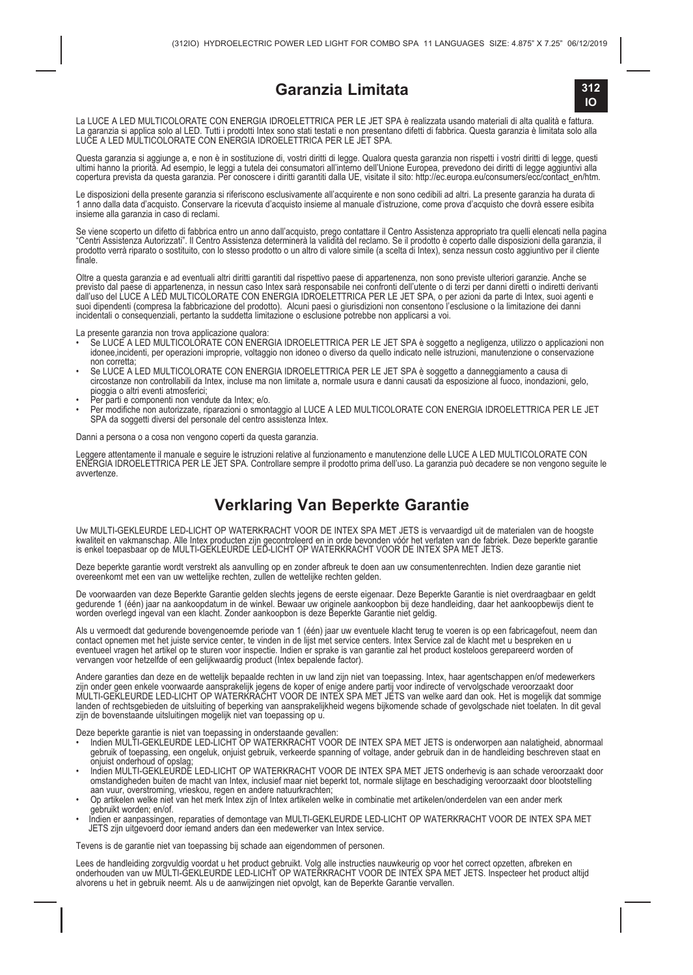#### **Garanzia Limitata**



La LUCE A LED MULTICOLORATE CON ENERGIA IDROELETTRICA PER LE JET SPA è realizzata usando matenali di alta qualità e fattura.<br>La garanzia si applica solo al LED. Tutti prodotti Intex sono stati testati e non presentano dife

Questa garanzia si aggiunge a, e non è in sostituzione di, vostri diritti di legge. Qualora questa garanzia non rispetti i vostri diritti di legge, questi<br>ultimi hanno la priorità. Ad esempio, le leggi a tutela dei consuma

Le disposizioni della presente garanzia si riferiscono esclusivamente all'acquirente e non sono cedibili ad altri. La presente garanzia ha durata di 1 anno dalla data d'acquisto. Conservare la ricevuta d'acquisto insieme al manuale d'istruzione, come prova d'acquisto che dovrà essere esibita insieme alla garanzia in caso di reclami.

Se viene scoperto un difetto di fabbrica entro un anno dall'acquisto, prego contattare il Centro Assistenza appropriato tra quelli elencati nella pagina<br>"Centri Assistenza Autorizzati". Il Centro Assistenza determinerà la "Centri Assistenza Autorizzati". Il Centro Assistenza determinerà la validità del reclamo. Se il prodotto è coperto dalle disposizioni della garanzia, il<br>prodotto verrà riparato o sostituito, con lo stesso prodotto o un al

Oltre a questa garanzia e ad eventuali altri diritti garantiti dal rispettivo paese di appartenenza, non sono previste ulteriori garanzie. Anche se previsto dal paese di appartenenza, in nessun caso Intex sarà responsabile nei confronti dell'utente o di terzi per danni diretti o indiretti derivanti dall'uso del LUCE A LED MULTICOLORATE CON ENERGIA IDROELETTRICA PER LE JET SPA, o per azioni da parte di Intex, suoi agenti e suoi dipendenti (compresa la fabbricazione del prodotto). Alcuni paesi o giurisdizioni non consentono l'esclusione o la limitazione dei danni incidentali o consequenziali, pertanto la suddetta limitazione o esclusione potrebbe non applicarsi a voi.

- La presente garanzia non trova applicazione qualora: Se LUCE A LED MULTICOLORATE CON ENERGIA IDROELETTRICA PER LE JET SPA è soggetto a negligenza, utilizzo o applicazioni non idonee,incidenti, per operazioni improprie, voltaggio non idoneo o diverso da quello indicato nelle istruzioni, manutenzione o conservazione non corretta;
- ∙ Se LUCE A LED MULTICOLORATE CON ENERGIA IDROELETTRICA PER LE JET SPA è soggetto a danneggiamento a causa di<br>circostanze non controllabili da Intex, incluse ma non limitate a, normale usura e danni causati da esposizione pioggia o altri eventi atmosferici;
- Per parti e componenti non vendute da Intex; e/o.
- Per modifiche non autorizzate, riparazioni o smontaggio al LUCE A LED MULTICOLORATE CON ENERGIA IDROELETTRICA PER LE JET SPA da soggetti diversi del personale del centro assistenza Intex.

Danni a persona o a cosa non vengono coperti da questa garanzia.

Leggere attentamente il manuale e seguire le istruzioni relative al funzionamento e manutenzione delle LUCE A LED MULTICOLORATE CON<br>ENERGIA IDROELETTRICA PER LE JET SPA. Controllare sempre il prodotto prima dell'uso. La ga

#### **Verklaring Van Beperkte Garantie**

Uw MULTI-GEKLEURDE LED-LICHT OP WATERKRACHT VOOR DE INTEX SPA MET JETS is vervaardigd uit de materialen van de hoogste kwaliteit en vakmanschap. Alle Intex producten zijn gecontroleerd en in orde bevonden voor het verlaten van de fabriek. Deze beperkte garantie<br>is enkel toepasbaar op de MULTI-GEKLEURDE LED-LICHT OP WATERKRACHT VOOR DE INTE

Deze beperkte garantie wordt verstrekt als aanvulling op en zonder afbreuk te doen aan uw consumentenrechten. Indien deze garantie niet overeenkomt met een van uw wettelijke rechten, zullen de wettelijke rechten gelden.

De voorwaarden van deze Beperkte Garantie gelden slechts jegens de eerste eigenaar. Deze Beperkte Garantie is niet overdraagbaar en geldt gedurende 1 (één) jaar na aankoopdatum in de winkel. Bewaar uw originele aankoopbon bij deze handleiding, daar het aankoopbewijs dient te worden overlegd ingeval van een klacht. Zonder aankoopbon is deze Beperkte Garantie niet geldig.

Als u vermoedt dat gedurende bovengenoemde penode van 1 (één) jaar uw eventuele klacht terug te voeren is op een fabncagefout, neem dan<br>contact opnemen met het juiste service center, te vinden in de lijst met service cente eventueel vragen het artikel op te sturen voor inspectie. Indien er sprake is van garantie zal het product kosteloos gerepareerd worden of vervangen voor hetzelfde of een gelijkwaardig product (Intex bepalende factor).

Andere garanties dan deze en de wettelijk bepaalde rechten in uw land zijn niet van toepassing. Intex, haar agentschappen en/of medewerkers<br>zijn onder geen enkele voorwaarde aansprakelijk jegens de koper of enige andere pa landen of rechtsgebieden de uitsluiting of beperking van aansprakelijkheid wegens bijkomende schade of gevolgschade niet toelaten. In dit geval zijn de bovenstaande uitsluitingen mogelijk niet van toepassing op u.

- Deze beperkte garantie is niet van toepassing in onderstaande gevallen: Indien MULTI-GEKLEURDE LED-LICHT OP WATERKRACHT VOOR DE INTEX SPA MET JETS is onderworpen aan nalatigheid, abnormaal gebruik of toepassing, een ongeluk, onjuist gebruik, verkeerde spanning of voltage, ander gebruik dan in de handleiding beschreven staat en
- onjuist onderhoud of opslag; Indien MULTI-GEKLEURDE LED-LICHT OP WATERKRACHT VOOR DE INTEX SPA MET JETS onderhevig is aan schade veroorzaakt door omstandigheden buiten de macht van Intex, inclusief maar niet beperkt tot, normale slijtage en beschadiging veroorzaakt door blootstelling aan vuur, overstroming, vrieskou, regen en andere natuurkrachten;
- Op artikelen welke niet van het merk Intex zijn of Intex artikelen welke in combinatie met artikelen/onderdelen van een ander merk
- gebruikt worden; en/of. Indien er aanpassingen, reparaties of demontage van MULTI-GEKLEURDE LED-LICHT OP WATERKRACHT VOOR DE INTEX SPA MET JETS zijn uitgevoerd door iemand anders dan een medewerker van Intex service.

Tevens is de garantie niet van toepassing bij schade aan eigendommen of personen.

Lees de handleiding zorgvuldig voordat u het product gebruikt. Volg alle instructies nauwkeurig op voor het correct opzetten, afbreken en<br>onderhouden van uw MULTI-GEKLEURDE LED-LICHT OP WATERKRACHT VOOR DE INTEX SPA MET JE alvorens u het in gebruik neemt. Als u de aanwijzingen niet opvolgt, kan de Beperkte Garantie vervallen.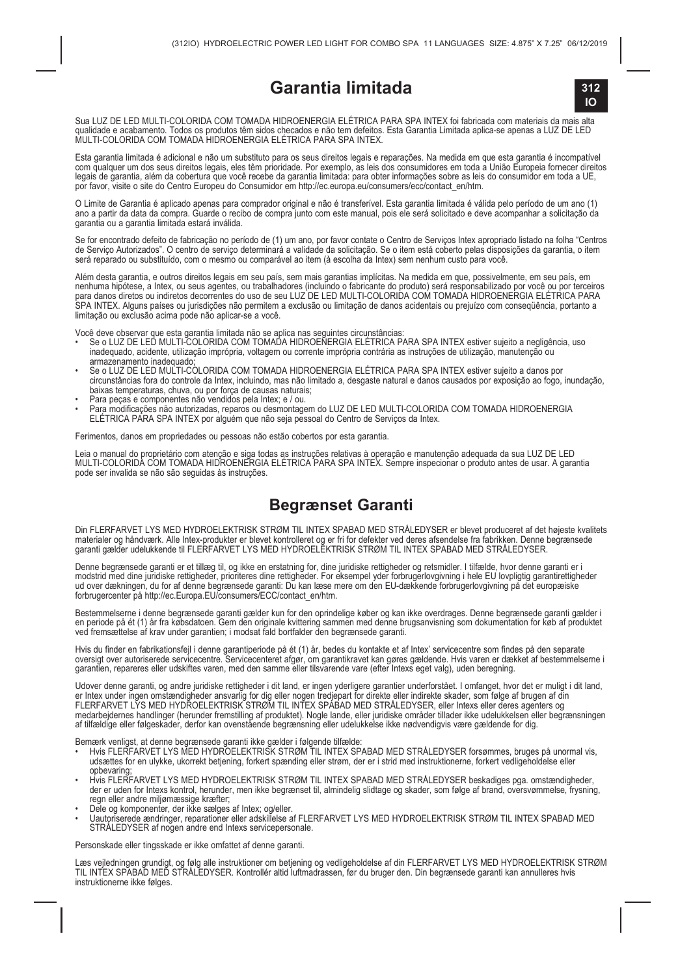### **Garantia limitada**



Sua LUZ DE LED MULTI-COLORIDA COM TOMADA HIDROENERGIA ELÉTRICA PARA SPA INTEX foi fabricada com materiais da mais alta qualidade e acabamento. Todos os produtos têm sidos checados e não tem defeitos. Esta Garantia Limitada aplica-se apenas a LUZ DE LED MULTI-COLORIDA COM TOMADA HIDROENERGIA ELÉTRICA PARA SPA INTEX.

Esta garantia limitada è adicional e não um substituto para os seus direitos legais e reparações. Na medida em que esta garantia è incompativel<br>com qualquer um dos seus direitos legais, eles têm prioridade. Por exemplo, as por favor, visite o site do Centro Europeu do Consumidor em http://ec.europa.eu/consumers/ecc/contact\_en/htm.

O Limite de Garantia é aplicado apenas para comprador original e não é transferível. Esta garantia limitada é válida pelo período de um ano (1) ano a partir da data da compra. Guarde o recibo de compra junto com este manual, pois ele será solicitado e deve acompanhar a solicitação da garantia ou a garantia limitada estará inválida.

Se for encontrado defeito de fabricação no período de (1) um ano, por favor contate o Centro de Serviços Intex apropriado listado na folha "Centros de Serviço Autorizados". O centro de serviço determinará a validade da solicitação. Se o item está coberto pelas disposições da garantia, o item será reparado ou substituído, com o mesmo ou comparável ao item (à escolha da Intex) sem nenhum custo para você.

Além desta garantia, e outros direitos legais em seu país, sem mais garantias implícitas. Na medida em que, possivelmente, em seu país, em<br>nenhuma hipótese, a Intex, ou seus agentes, ou trabalhadores (incluindo o fabricant SPA INTEX. Alguns países ou jurisdições não permitem a exclusão ou limitação de danos acidentais ou prejuízo com conseqüência, portanto a limitação ou exclusão acima pode não aplicar-se a você.

- Você deve observar que esta garantia limitada não se aplica nas seguintes circunstâncias: Se o LUZ DE LED MULTI-COLORIDA COM TOMADA HIDROENERGIA ELÉTRICA PARA SPA INTEX estiver sujeito a negligência, uso inadequado, acidente, utilização imprópria, voltagem ou corrente imprópria contrária as instruções de utilização, manutenção ou armazenamento inadequado;
- Se o LUZ DE LED MULTI-COLORIDA COM TOMADA HIDROENERGIA ELÉTRICA PARA SPA INTEX estiver sujeito a danos por circunstâncias fora do controle da Intex, incluindo, mas não limitado a, desgaste natural e danos causados por exposição ao fogo, inundação, baixas temperaturas, chuva, ou por força de causas naturais;
- Para peças e componentes não vendidos pela Intex; e / ou.
- Para modificações não autorizadas, reparos ou desmontagem do LUZ DE LED MULTI-COLORIDA COM TOMADA HIDROENERGIA ELÉTRICA PARA SPA INTEX por alguém que não seja pessoal do Centro de Serviços da Intex.

Ferimentos, danos em propriedades ou pessoas não estão cobertos por esta garantia.

Leia o manual do proprietário com atenção e siga todas as instruções relativas à operação e manutenção adequada da sua LUZ DE LED<br>MULTI-COLORIDA COM TOMADA HIDROENERGIA ELÉTRICA PARA SPA INTEX. Sempre inspecionar o produto pode ser invalida se não são seguidas às instruções.

#### **Begrænset Garanti**

Din FLERFARVET LYS MED HYDROELEKTRISK STRØM TIL INTEX SPABAD MED STRÅLEDYSER er blevet produceret af det højeste kvalitets materialer og håndværk. Alle Intex-produkter er blevet kontrolleret og er fri for defekter ved deres afsendelse fra fabrikken. Denne begrænsede<br>garanti gælder udelukkende til FLERFARVET LYS MED HYDROELEKTRISK STRØM TIL INT

Denne begrænsede garanti er et tillæg til, og ikke en erstatning for, dine juridiske rettigheder og retsmidler. I tilfælde, hvor denne garanti er i<br>modstrid med dine juridiske rettigheder, prioriteres dine rettigheder. Fo

Bestemmelserne i denne begrænsede garanti gælder kun for den oprindelige køber og kan ikke overdrages. Denne begrænsede garanti gælder i<br>en periode på ét (1) år fra købsdatoen. Gem dre originale kvittering sammen med denne

Hvis du finder en fabrikationsfejl i denne garantiperiode på ét (1) år, bedes du kontakte et af Intex' servicecentre som findes på den separate oversigt over autoriserede servicecentre. Servicecenteret afgør, om garantikravet kan gøres gældende. Hvis varen er dækket af bestemmelserne i garantien, repareres eller udskiftes varen, med den samme eller tilsvarende vare (efter Intexs eget valg), uden beregning.

Udover denne garanti, og andre juridiske rettigheder i dit land, er ingen yderligere garantier underforstået. I omfanget, hvor det er muligt i dit land,<br>er Intex under ingen omstændigheder ansvarlig for dig eller nogen tr medarbejdernes handlinger (herunder fremstilling af produktet). Nogle lande, eller juridiske områder tillader ikke udelukkelsen eller begrænsningen<br>af tilfældige eller følgeskader, derfor kan ovenstående begrænsning eller

- Bemærk venligst, at denne begrænsede garanti ikke gælder i følgende tilfælde: Hvis FLERFARVET LYS MED HYDROELEKTRISK STRØM TIL INTEX SPABAD MED STRÅLEDYSER forsømmes, bruges på unormal vis, udsættes for en ulykke, ukorrekt betjening, forkert spænding eller strøm, der er i strid med instruktionerne, forkert vedligeholdelse eller opbevaring;
- Hvis FLERFARVET LYS MED HYDROELEKTRISK STRØM TIL INTEX SPABAD MED STRÅLEDYSER beskadiges pga. omstændigheder, der er uden for Intexs kontrol, herunder, men ikke begrænset til, almindelig slidtage og skader, som følge af brand, oversvømmelse, frysning, regn eller andre miljømæssige kræfter;
- 
- Dele og komponenter, der ikke sælges af Intex; og/eller. Uautoriserede ændringer, reparationer eller adskillelse af FLERFARVET LYS MED HYDROELEKTRISK STRØM TIL INTEX SPABAD MED STRÅLEDYSER af nogen andre end Intexs servicepersonale.

Personskade eller tingsskade er ikke omfattet af denne garanti.

Læs vejledningen grundigt, og følg alle instruktioner om betjening og vedligeholdelse af din FLERFARVET LYS MED HYDROELEKTRISK STRØM<br>TIL INTEX SPABAD MED STRÅLEDYSER. Kontrollér altid luftmadrassen, før du bruger den. Din instruktionerne ikke følges.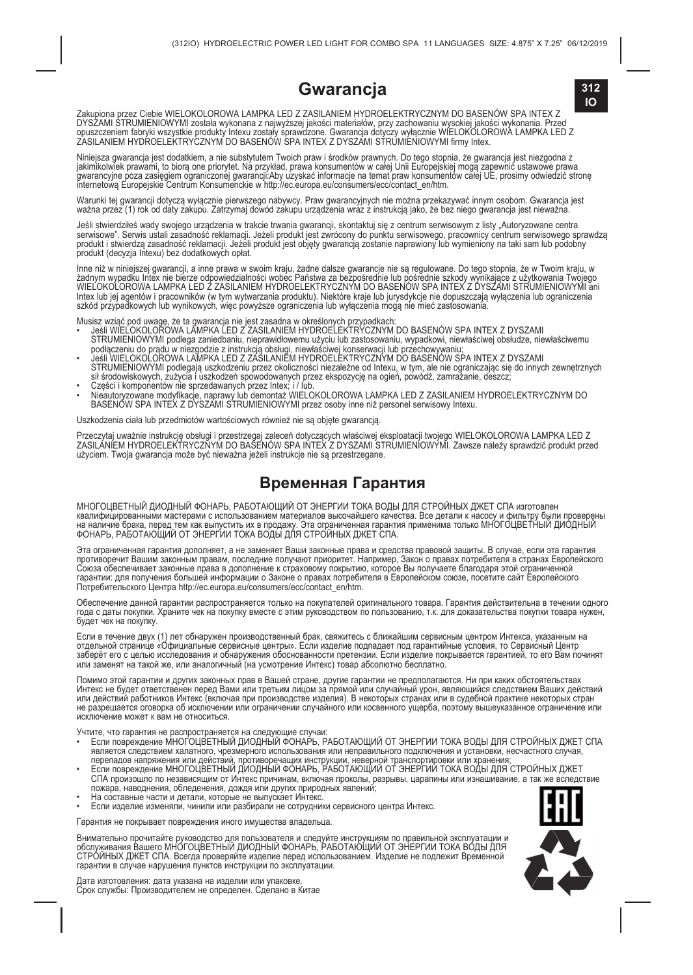### **IO Gwarancja**



Zakupiona przez Ciebie WIELOKOLOROWA LAMPKA LED Z ZASILANIEM HYDROELEKTRYCZNYM DO BASENÓW SPA INTEX Z DYSZAMI STRUMIENIOWYMI została wykonana z najwyższej jakości materiałów, przy zachowaniu wysokiej jakości wykonania. Przed opuszczeniem fabryki wszystkie produkty Intexu zostały sprawdzone. Gwarancja dotyczy wyłącznie WIELOKOLOROWA LAMPKA LED Z ZASILANIEM HYDROELEKTRYCZNYM DO BASENÓW SPA INTEX Z DYSZAMI STRUMIENIOWYMI firmy Intex.

Niniejsza gwarancja jest dodatkiem, a nie substytutem Twoich praw i środków prawnych. Do tego stopnia, że gwarancja jest niezgodna z<br>jakimikolwiek prawami, to biorą one priorytet. Na przykład, prawa konsumentów w całej Uni gwarancyjne poza zasięgiem ograniczonej gwarancji:Aby uzyskać intormacje na temat praw konsumentów całej UE, prosimy odwiedzić stronę<br>internetową Europejskie Centrum Konsumenckie w http://ec.europa.eu/consumers/ecc/contact

Warunki tej gwarancji dotyczą wyłącznie pierwszego nabywcy. Praw gwarancyjnych nie można przekazywać innym osobom. Gwarancja jest<br>ważna przez (1) rok od daty zakupu. Zatrzymaj dowód zakupu urządzenia wraz z instrukcją jako

Jeśli stwierdziłeś wady swojego urządzenia w trakcie trwania gwarancji, skontaktuj się z centrum serwisowym z listy "Autoryzowane centra<br>serwisowe". Serwis ustali zasadność reklamacji. Jeżeli produkt jest zwrócony do punkt produkt (decyzja Intexu) bez dodatkowych opłat.

Inne niż w niniejszej gwarancji, a inne prawa w swoim kraju, żadne dalsze gwarancje nie są regulowane. Do tego stopnia, że w Twoim kraju, w zadnym wypadku Intex nie bierze odpowiedzialności wobec Państwa za bezpośrednie lub pośrednie szkody wynikające z użytkowania Twojego<br>WIEJ OKOLOROWA LAMPKA LED Z ZASILANIEM HYDROELEKTRYCZNYM DO BASENOW SPA INTEX Z DYSZAMI Intex lub jej agentów i pracowników (w tym wytwarzania produktu). Niektóre kraje lub jurysdykcje nie dopuszczają wyłączenia lub ograniczenia szkód przypadkowych lub wynikowych, więc powyższe ograniczenia lub wyłączenia mogą nie mieć zastosowania.

- Musisz wziąć pod uwagę, że ta gwarancja nie jest zasadna w określonych przypadkach:<br>• Jesli WiELOKOLOROWA LEMPKA LED Z ZASILANIEM HYDROELEKTRYCZNYM DO BASENÓW SPA INTEX Z DYSZAMI<br>– STRUMIENIOWYMI podlega zaniedbaniu, niepr
- Jeśli WIELOKOLOROWA LAMPKA LED Z ZASILANIEM HYDROELEKTRYCZNYM DO BASENÓW SPA INTEX Z DYSZAMI esii wiklionowych zwierzych podlegają uszkodzeniu przez okoliczności niezależne od Intexu, w tym, ale nie ograniczając się do innych zewnętrznych<br>sił środowiskowych, zużycia i uszkodzeń spowodowanych przez ekspozycję na og • Części i komponentów nie sprzedawanych przez Intex; i / lub.
- Nieautoryzowane modyfikacje, naprawy lub demontaż WIELOKOLOROWA LAMPKA LED Z ZASILANIEM HYDROELEKTRYCZNYM DO<br>BASENÓW SPA INTEX Z DYSZAMI STRUMIENIOWYMI przez osoby inne niż personel serwisowy Intexu.

Uszkodzenia ciała lub przedmiotów wartościowych również nie są objęte gwarancją.

Przeczytaj uważnie instrukcję obsługi i przestrzegaj zaleceń dotyczących właściwej eksploatacji twojego WIELOKOLOROWA LAMPKA LED Z<br>ZASILAMEM HYDROELEKTRYCZNYM DO BASENOW SPA INTEX Z DYSZAMI STRUMIENIOWYMI. Zawsze należy sp

#### **Временная Гарантия**

МНОГОЦВЕТНЫЙ ДИОДНЫЙ ФОНАРЬ, РАБОТАЮЩИЙ ОТ ЭНЕРГИИ ТОКА ВОДЫ ДЛЯ СТРОЙНЫХ ДЖЕТ СПА изготовлен квалифицированными мастерами с использованием материалов высочайшего качества. Все детали к насосу и фильтру были проверены<br>на наличие брака, перед тем как выпустить их в продажу. Эта ограниченная тарантия только топно то

Эта ограниченная гарантия дополняет, а не заменяет Ваши законные права и средства правовой защиты. В случае, если эта гарантия<br>противоречит Вашим законным правам, последние получают приоритет. Например, Закон о правах пот Союза обеспечивает законные права в дополнение к страховому покрытию, которое Вы получаете благодаря этой ограниченной гарантии: для получения большей информации о Законе о правах потребителя в Европейском союзе, посетите сайт Европейского Потребительского Центра http://ec.europa.eu/consumers/ecc/contact\_en/htm.

Обеспечение данной гарантии распространяется только на покупателей оригинального товара. Гарантия действительна в течении одного<br>года с даты покупки. Храните чек на покупку вместе с этим руководством по пользованию, т.к. будет чек на покупку.

Если в течение двух (1) лет обнаружен производственный брак, свяжитесь с ближайшим сервисным центром Интекса, указанным на отдельной странице «Официальные сервисные центры». Если изделие подпадает под гарантийные условия, то Сервисный Центр заберёт его с целью исследования и обнаружения обоснованности претензии. Если изделие покрывается гарантией, то его Вам починят<br>или заменят на такой же, или аналогичный (на усмотрение Интекс) товар абсолютно бесплатно.

Помимо этой гарантии и других законных прав в Вашей стране, другие гарантии не предполагаются. Ни при каких обстоятельствах<br>Интекс не будет ответственен перед Вами или третьим лицом за прямой или случайный урон, являющийс или действий работников Интекс (включая при производстве изделия). В некоторых странах или в судебной практике некоторых стран не разрешается оговорка об исключении или ограничении случайного или косвенного ущерба, поэтому вышеуказанное ограничение или исключение может к вам не относиться.

- Учтите, что гарантия не распространяется на следующие случаи:<br>• Если повреждение МНОГОЦВЕТНЫЙ ДИОДНЫЙ ФОНАРЬ, РАБОТАЮЩИЙ ОТ ЭНЕРГИИ ТОКА ВОДЫ ДЛЯ СТРОЙНЫХ ДЖЕТ СПА является следствием халатного, чрезмерного использования или неправильного подключения и установки, несчастного случая,<br>перепадов напряжения или действий, противоречащих инструкции, неверной транспортировки или хранения;
- СПА произошло по независящим от Интекс причинам, включая проколы, разрывы, царапины или изнашивание, а так же вследствие пожара, наводнения, обледенения, дождя или других природных явлений;
- 
- На составные части и детали, которые не выпускает Интекс.<br>• Если изделие изменяли, чинили или разбирали не сотрудники сервисного центра Интекс.

Гарантия не покрывает повреждения иного имущества владельца.

Внимательно прочитайте руководство для пользователя и следуйте инструкциям по правильной эксплуатации и<br>обслуживания Baшего MHOГOЦВЕТНЫЙ ДИОДНЫЙ ФОНАРЬ, РАБОТАЮЩИЙ ОТ ЭНЕРГИИ тОКА ВОДЫ Д<br>СТРОЙНЫХ ДЖЕТ СПА. Всегда проверяй гарантии в случае нарушения пунктов инструкции по эксплуатации.



Дата изготовления: дата указана на изделии или упаковке. Срок службы: Производителем не определен. Сделано в Китае